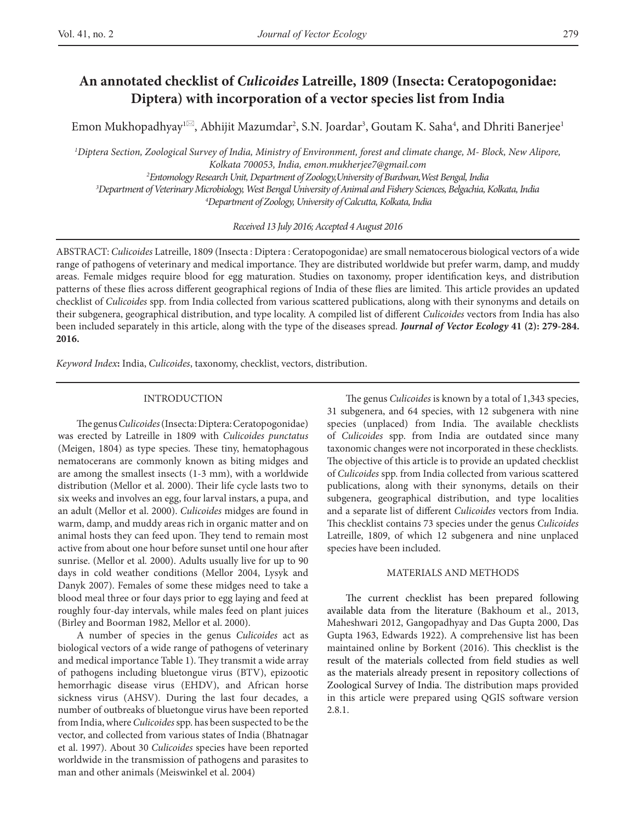Emon Mukhopadhyay<sup>ı⊠</sup>, Abhijit Mazumdar<sup>2</sup>, S.N. Joardar<sup>3</sup>, Goutam K. Saha<sup>4</sup>, and Dhriti Banerjee<sup>1</sup>

 *Diptera Section, Zoological Survey of India, Ministry of Environment, forest and climate change, M- Block, New Alipore, Kolkata 700053, India, emon.mukherjee7@gmail.com Entomology Research Unit, Department of Zoology,University of Burdwan,West Bengal, India Department of Veterinary Microbiology, West Bengal University of Animal and Fishery Sciences, Belgachia, Kolkata, India 4*

*Department of Zoology, University of Calcutta, Kolkata, India*

*Received 13 July 2016; Accepted 4 August 2016*

ABSTRACT: *Culicoides* Latreille, 1809 (Insecta : Diptera : Ceratopogonidae) are small nematocerous biological vectors of a wide range of pathogens of veterinary and medical importance. They are distributed worldwide but prefer warm, damp, and muddy areas. Female midges require blood for egg maturation. Studies on taxonomy, proper identification keys, and distribution patterns of these flies across different geographical regions of India of these flies are limited. This article provides an updated checklist of *Culicoides* spp. from India collected from various scattered publications, along with their synonyms and details on their subgenera, geographical distribution, and type locality. A compiled list of different *Culicoides* vectors from India has also been included separately in this article, along with the type of the diseases spread. *Journal of Vector Ecology* **41 (2): 279-284. 2016.**

*Keyword Index***:** India, *Culicoides*, taxonomy, checklist, vectors, distribution.

#### INTRODUCTION

The genus *Culicoides* (Insecta: Diptera: Ceratopogonidae) was erected by Latreille in 1809 with *Culicoides punctatus* (Meigen, 1804) as type species. These tiny, hematophagous nematocerans are commonly known as biting midges and are among the smallest insects (1-3 mm), with a worldwide distribution (Mellor et al. 2000). Their life cycle lasts two to six weeks and involves an egg, four larval instars, a pupa, and an adult (Mellor et al. 2000). *Culicoides* midges are found in warm, damp, and muddy areas rich in organic matter and on animal hosts they can feed upon. They tend to remain most active from about one hour before sunset until one hour after sunrise. (Mellor et al*.* 2000). Adults usually live for up to 90 days in cold weather conditions (Mellor 2004, Lysyk and Danyk 2007). Females of some these midges need to take a blood meal three or four days prior to egg laying and feed at roughly four-day intervals, while males feed on plant juices (Birley and Boorman 1982, Mellor et al. 2000).

A number of species in the genus *Culicoides* act as biological vectors of a wide range of pathogens of veterinary and medical importance Table 1). They transmit a wide array of pathogens including bluetongue virus (BTV), epizootic hemorrhagic disease virus (EHDV), and African horse sickness virus (AHSV). During the last four decades, a number of outbreaks of bluetongue virus have been reported from India, where *Culicoides* spp. has been suspected to be the vector, and collected from various states of India (Bhatnagar et al. 1997). About 30 *Culicoides* species have been reported worldwide in the transmission of pathogens and parasites to man and other animals (Meiswinkel et al. 2004)

The genus *Culicoides* is known by a total of 1,343 species, 31 subgenera, and 64 species, with 12 subgenera with nine species (unplaced) from India. The available checklists of *Culicoides* spp. from India are outdated since many taxonomic changes were not incorporated in these checklists*.*  The objective of this article is to provide an updated checklist of *Culicoides* spp. from India collected from various scattered publications, along with their synonyms, details on their subgenera, geographical distribution, and type localities and a separate list of different *Culicoides* vectors from India. This checklist contains 73 species under the genus *Culicoides* Latreille, 1809, of which 12 subgenera and nine unplaced species have been included.

#### MATERIALS AND METHODS

The current checklist has been prepared following available data from the literature (Bakhoum et al., 2013, Maheshwari 2012, Gangopadhyay and Das Gupta 2000, Das Gupta 1963, Edwards 1922). A comprehensive list has been maintained online by Borkent (2016). This checklist is the result of the materials collected from field studies as well as the materials already present in repository collections of Zoological Survey of India. The distribution maps provided in this article were prepared using QGIS software version 2.8.1.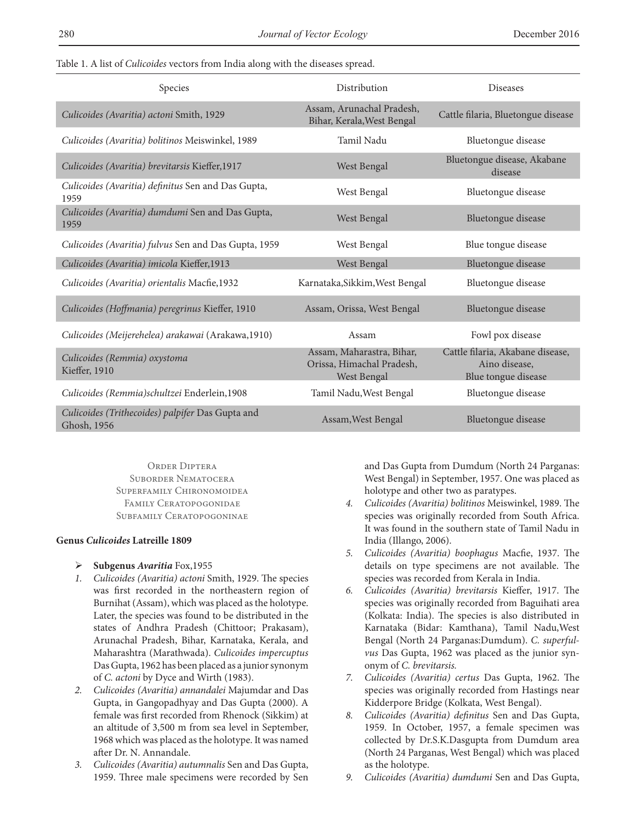Table 1. A list of *Culicoides* vectors from India along with the diseases spread.

| Species                                                         | Distribution                                                                 | <b>Diseases</b>                                                          |
|-----------------------------------------------------------------|------------------------------------------------------------------------------|--------------------------------------------------------------------------|
| Culicoides (Avaritia) actoni Smith, 1929                        | Assam, Arunachal Pradesh,<br>Bihar, Kerala, West Bengal                      | Cattle filaria, Bluetongue disease                                       |
| Culicoides (Avaritia) bolitinos Meiswinkel, 1989                | Tamil Nadu                                                                   | Bluetongue disease                                                       |
| Culicoides (Avaritia) brevitarsis Kieffer, 1917                 | West Bengal                                                                  | Bluetongue disease, Akabane<br>disease                                   |
| Culicoides (Avaritia) definitus Sen and Das Gupta,<br>1959      | West Bengal                                                                  | Bluetongue disease                                                       |
| Culicoides (Avaritia) dumdumi Sen and Das Gupta,<br>1959        | West Bengal                                                                  | Bluetongue disease                                                       |
| Culicoides (Avaritia) fulvus Sen and Das Gupta, 1959            | West Bengal                                                                  | Blue tongue disease                                                      |
| Culicoides (Avaritia) imicola Kieffer, 1913                     | West Bengal                                                                  | Bluetongue disease                                                       |
| Culicoides (Avaritia) orientalis Macfie, 1932                   | Karnataka, Sikkim, West Bengal                                               | Bluetongue disease                                                       |
| Culicoides (Hoffmania) peregrinus Kieffer, 1910                 | Assam, Orissa, West Bengal                                                   | Bluetongue disease                                                       |
| Culicoides (Meijerehelea) arakawai (Arakawa, 1910)              | Assam                                                                        | Fowl pox disease                                                         |
| Culicoides (Remmia) oxystoma<br>Kieffer, 1910                   | Assam, Maharastra, Bihar,<br>Orissa, Himachal Pradesh,<br><b>West Bengal</b> | Cattle filaria, Akabane disease,<br>Aino disease,<br>Blue tongue disease |
| Culicoides (Remmia)schultzei Enderlein,1908                     | Tamil Nadu, West Bengal                                                      | Bluetongue disease                                                       |
| Culicoides (Trithecoides) palpifer Das Gupta and<br>Ghosh, 1956 | Assam, West Bengal                                                           | Bluetongue disease                                                       |

Order Diptera Suborder Nematocera Superfamily Chironomoidea Family Ceratopogonidae Subfamily Ceratopogoninae

# **Genus** *Culicoides* **Latreille 1809**

- Ø **Subgenus** *Avaritia* Fox,1955
- *1. Culicoides (Avaritia) actoni* Smith, 1929. The species was first recorded in the northeastern region of Burnihat (Assam), which was placed as the holotype. Later, the species was found to be distributed in the states of Andhra Pradesh (Chittoor; Prakasam), Arunachal Pradesh, Bihar, Karnataka, Kerala, and Maharashtra (Marathwada). *Culicoides impercuptus* Das Gupta, 1962 has been placed as a junior synonym of *C. actoni* by Dyce and Wirth (1983).
- *2. Culicoides (Avaritia) annandalei* Majumdar and Das Gupta, in Gangopadhyay and Das Gupta (2000). A female was first recorded from Rhenock (Sikkim) at an altitude of 3,500 m from sea level in September, 1968 which was placed as the holotype. It was named after Dr. N. Annandale.
- *3. Culicoides (Avaritia) autumnalis* Sen and Das Gupta, 1959. Three male specimens were recorded by Sen

and Das Gupta from Dumdum (North 24 Parganas: West Bengal) in September, 1957. One was placed as holotype and other two as paratypes.

- *4. Culicoides (Avaritia) bolitinos* Meiswinkel, 1989. The species was originally recorded from South Africa. It was found in the southern state of Tamil Nadu in India (Illango, 2006).
- *5. Culicoides (Avaritia) boophagus* Macfie, 1937. The details on type specimens are not available. The species was recorded from Kerala in India.
- *6. Culicoides (Avaritia) brevitarsis* Kieffer, 1917. The species was originally recorded from Baguihati area (Kolkata: India). The species is also distributed in Karnataka (Bidar: Kamthana), Tamil Nadu,West Bengal (North 24 Parganas:Dumdum). *C. superfulvus* Das Gupta, 1962 was placed as the junior synonym of *C. brevitarsis.*
- *7. Culicoides (Avaritia) certus* Das Gupta, 1962. The species was originally recorded from Hastings near Kidderpore Bridge (Kolkata, West Bengal).
- *8. Culicoides (Avaritia) definitus* Sen and Das Gupta, 1959. In October, 1957, a female specimen was collected by Dr.S.K.Dasgupta from Dumdum area (North 24 Parganas, West Bengal) which was placed as the holotype.
- *9. Culicoides (Avaritia) dumdumi* Sen and Das Gupta,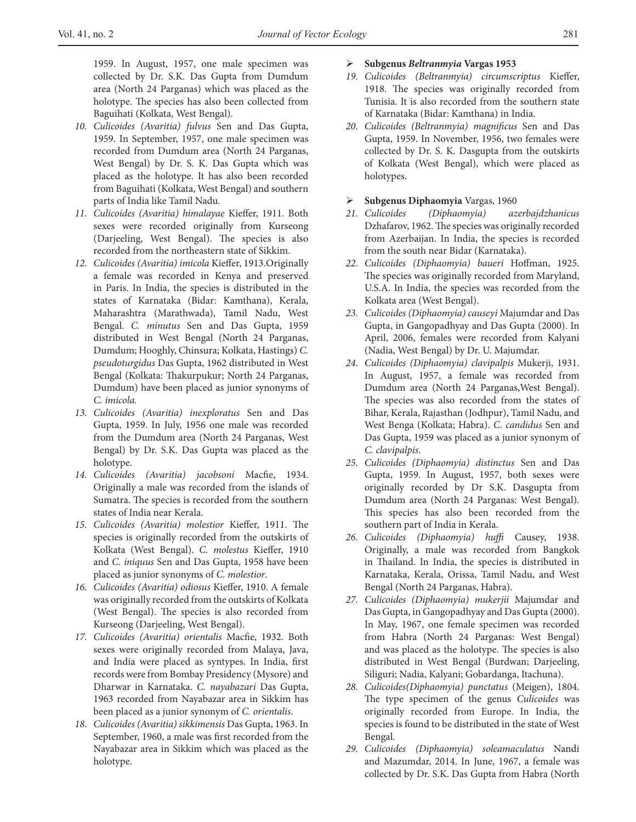1959. In August, 1957, one male specimen was collected by Dr. S.K. Das Gupta from Dumdum area (North 24 Parganas) which was placed as the holotype. The species has also been collected from Baguihati (Kolkata, West Bengal).

- *10. Culicoides (Avaritia) fulvus* Sen and Das Gupta, 1959. In September, 1957, one male specimen was recorded from Dumdum area (North 24 Parganas, West Bengal) by Dr. S. K. Das Gupta which was placed as the holotype. It has also been recorded from Baguihati (Kolkata, West Bengal) and southern parts of India like Tamil Nadu.
- *11. Culicoides (Avaritia) himalayae* Kieffer, 1911. Both sexes were recorded originally from Kurseong (Darjeeling, West Bengal). The species is also recorded from the northeastern state of Sikkim.
- *12. Culicoides (Avaritia) imicola* Kieffer, 1913.Originally a female was recorded in Kenya and preserved in Paris. In India, the species is distributed in the states of Karnataka (Bidar: Kamthana), Kerala, Maharashtra (Marathwada), Tamil Nadu, West Bengal. *C. minutus* Sen and Das Gupta, 1959 distributed in West Bengal (North 24 Parganas, Dumdum; Hooghly, Chinsura; Kolkata, Hastings) *C. pseudoturgidus* Das Gupta, 1962 distributed in West Bengal (Kolkata: Thakurpukur; North 24 Parganas, Dumdum) have been placed as junior synonyms of *C. imicola.*
- *13. Culicoides (Avaritia) inexploratus* Sen and Das Gupta, 1959. In July, 1956 one male was recorded from the Dumdum area (North 24 Parganas, West Bengal) by Dr. S.K. Das Gupta was placed as the holotype.
- *14. Culicoides (Avaritia) jacobsoni* Macfie, 1934. Originally a male was recorded from the islands of Sumatra. The species is recorded from the southern states of India near Kerala.
- *15. Culicoides (Avaritia) molestior* Kieffer, 1911. The species is originally recorded from the outskirts of Kolkata (West Bengal). *C. molestus* Kieffer, 1910 and *C. iniquus* Sen and Das Gupta, 1958 have been placed as junior synonyms of *C. molestior*.
- *16. Culicoides (Avaritia) odiosus* Kieffer, 1910. A female was originally recorded from the outskirts of Kolkata (West Bengal). The species is also recorded from Kurseong (Darjeeling, West Bengal).
- *17. Culicoides (Avaritia) orientalis* Macfie, 1932. Both sexes were originally recorded from Malaya, Java, and India were placed as syntypes. In India, first records were from Bombay Presidency (Mysore) and Dharwar in Karnataka. *C. nayabazari* Das Gupta, 1963 recorded from Nayabazar area in Sikkim has been placed as a junior synonym of *C. orientalis.*
- *18. Culicoides (Avaritia) sikkimensis* Das Gupta, 1963. In September, 1960, a male was first recorded from the Nayabazar area in Sikkim which was placed as the holotype.

### Ø **Subgenus** *Beltranmyia* **Vargas 1953**

- *19. Culicoides (Beltranmyia) circumscriptus* Kieffer, 1918. The species was originally recorded from Tunisia. It is also recorded from the southern state of Karnataka (Bidar: Kamthana) in India.
- *20. Culicoides (Beltranmyia) magnificus* Sen and Das Gupta, 1959. In November, 1956, two females were collected by Dr. S. K. Dasgupta from the outskirts of Kolkata (West Bengal), which were placed as holotypes.

# Ø **Subgenus Diphaomyia** Vargas, 1960

- *21. Culicoides (Diphaomyia) azerbajdzhanicus*  Dzhafarov, 1962. The species was originally recorded from Azerbaijan. In India, the species is recorded from the south near Bidar (Karnataka).
- *22. Culicoides (Diphaomyia) baueri* Hoffman, 1925. The species was originally recorded from Maryland, U.S.A. In India, the species was recorded from the Kolkata area (West Bengal).
- *23. Culicoides (Diphaomyia) causeyi* Majumdar and Das Gupta, in Gangopadhyay and Das Gupta (2000). In April, 2006, females were recorded from Kalyani (Nadia, West Bengal) by Dr. U. Majumdar.
- *24. Culicoides (Diphaomyia) clavipalpis* Mukerji, 1931. In August, 1957, a female was recorded from Dumdum area (North 24 Parganas,West Bengal). The species was also recorded from the states of Bihar, Kerala, Rajasthan (Jodhpur), Tamil Nadu, and West Benga (Kolkata; Habra). *C*. *candidus* Sen and Das Gupta, 1959 was placed as a junior synonym of *C. clavipalpis*.
- *25. Culicoides (Diphaomyia) distinctus* Sen and Das Gupta, 1959. In August, 1957, both sexes were originally recorded by Dr S.K. Dasgupta from Dumdum area (North 24 Parganas: West Bengal). This species has also been recorded from the southern part of India in Kerala.
- *26. Culicoides (Diphaomyia) huffi* Causey, 1938. Originally, a male was recorded from Bangkok in Thailand. In India, the species is distributed in Karnataka, Kerala, Orissa, Tamil Nadu, and West Bengal (North 24 Parganas, Habra).
- *27. Culicoides (Diphaomyia) mukerjii* Majumdar and Das Gupta, in Gangopadhyay and Das Gupta (2000). In May, 1967, one female specimen was recorded from Habra (North 24 Parganas: West Bengal) and was placed as the holotype. The species is also distributed in West Bengal (Burdwan; Darjeeling, Siliguri; Nadia, Kalyani; Gobardanga, Itachuna).
- *28. Culicoides(Diphaomyia) punctatus* (Meigen), 1804. The type specimen of the genus *Culicoides* was originally recorded from Europe. In India, the species is found to be distributed in the state of West Bengal.
- *29. Culicoides (Diphaomyia) soleamaculatus* Nandi and Mazumdar, 2014. In June, 1967, a female was collected by Dr. S.K. Das Gupta from Habra (North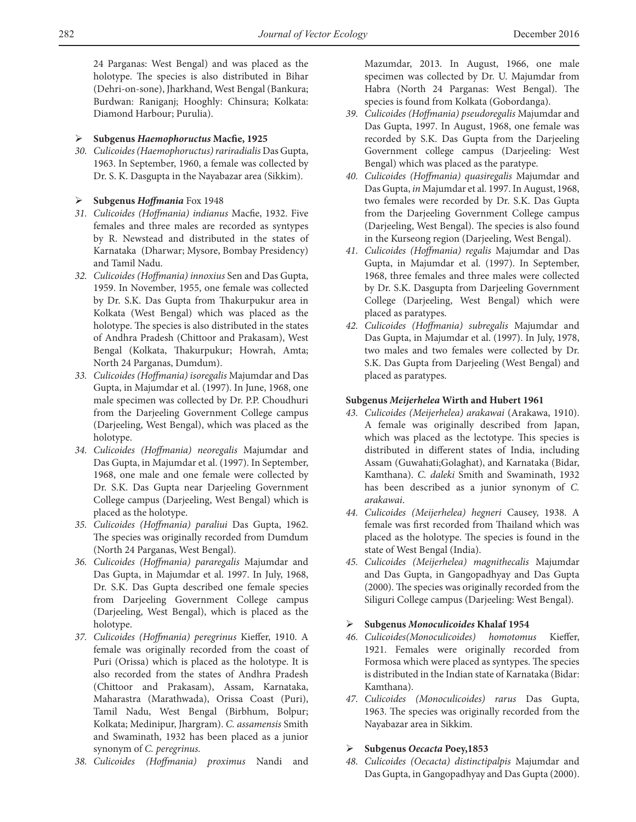24 Parganas: West Bengal) and was placed as the holotype. The species is also distributed in Bihar (Dehri-on-sone), Jharkhand, West Bengal (Bankura; Burdwan: Raniganj; Hooghly: Chinsura; Kolkata: Diamond Harbour; Purulia).

### Ø **Subgenus** *Haemophoructus* **Macfie, 1925**

*30. Culicoides (Haemophoructus) rariradialis* Das Gupta, 1963. In September, 1960, a female was collected by Dr. S. K. Dasgupta in the Nayabazar area (Sikkim).

### Ø **Subgenus** *Hoffmania* Fox 1948

- *31. Culicoides (Hoffmania) indianus* Macfie, 1932. Five females and three males are recorded as syntypes by R. Newstead and distributed in the states of Karnataka (Dharwar; Mysore, Bombay Presidency) and Tamil Nadu.
- *32. Culicoides (Hoffmania) innoxius* Sen and Das Gupta, 1959. In November, 1955, one female was collected by Dr. S.K. Das Gupta from Thakurpukur area in Kolkata (West Bengal) which was placed as the holotype. The species is also distributed in the states of Andhra Pradesh (Chittoor and Prakasam), West Bengal (Kolkata, Thakurpukur; Howrah, Amta; North 24 Parganas, Dumdum).
- *33. Culicoides (Hoffmania) isoregalis* Majumdar and Das Gupta, in Majumdar et al. (1997). In June, 1968, one male specimen was collected by Dr. P.P. Choudhuri from the Darjeeling Government College campus (Darjeeling, West Bengal), which was placed as the holotype.
- *34. Culicoides (Hoffmania) neoregalis* Majumdar and Das Gupta, in Majumdar et al. (1997). In September, 1968, one male and one female were collected by Dr. S.K. Das Gupta near Darjeeling Government College campus (Darjeeling, West Bengal) which is placed as the holotype.
- *35. Culicoides (Hoffmania) paraliui* Das Gupta, 1962. The species was originally recorded from Dumdum (North 24 Parganas, West Bengal).
- *36. Culicoides (Hoffmania) pararegalis* Majumdar and Das Gupta, in Majumdar et al. 1997. In July, 1968, Dr. S.K. Das Gupta described one female species from Darjeeling Government College campus (Darjeeling, West Bengal), which is placed as the holotype.
- *37. Culicoides (Hoffmania) peregrinus* Kieffer, 1910. A female was originally recorded from the coast of Puri (Orissa) which is placed as the holotype. It is also recorded from the states of Andhra Pradesh (Chittoor and Prakasam), Assam, Karnataka, Maharastra (Marathwada), Orissa Coast (Puri), Tamil Nadu, West Bengal (Birbhum, Bolpur; Kolkata; Medinipur, Jhargram). *C. assamensis* Smith and Swaminath, 1932 has been placed as a junior synonym of *C. peregrinus.*
- *38. Culicoides (Hoffmania) proximus* Nandi and

Mazumdar, 2013. In August, 1966, one male specimen was collected by Dr. U. Majumdar from Habra (North 24 Parganas: West Bengal). The species is found from Kolkata (Gobordanga).

- *39. Culicoides (Hoffmania) pseudoregalis* Majumdar and Das Gupta, 1997. In August, 1968, one female was recorded by S.K. Das Gupta from the Darjeeling Government college campus (Darjeeling: West Bengal) which was placed as the paratype.
- *40. Culicoides (Hoffmania) quasiregalis* Majumdar and Das Gupta, *in* Majumdar et al. 1997. In August, 1968, two females were recorded by Dr. S.K. Das Gupta from the Darjeeling Government College campus (Darjeeling, West Bengal). The species is also found in the Kurseong region (Darjeeling, West Bengal).
- *41. Culicoides (Hoffmania) regalis* Majumdar and Das Gupta, in Majumdar et al. (1997). In September, 1968, three females and three males were collected by Dr. S.K. Dasgupta from Darjeeling Government College (Darjeeling, West Bengal) which were placed as paratypes.
- *42. Culicoides (Hoffmania) subregalis* Majumdar and Das Gupta, in Majumdar et al. (1997). In July, 1978, two males and two females were collected by Dr. S.K. Das Gupta from Darjeeling (West Bengal) and placed as paratypes.

# **Subgenus** *Meijerhelea* **Wirth and Hubert 1961**

- *43. Culicoides (Meijerhelea) arakawai* (Arakawa, 1910). A female was originally described from Japan, which was placed as the lectotype. This species is distributed in different states of India, including Assam (Guwahati;Golaghat), and Karnataka (Bidar, Kamthana). *C. daleki* Smith and Swaminath, 1932 has been described as a junior synonym of *C. arakawai*.
- *44. Culicoides (Meijerhelea) hegneri* Causey, 1938. A female was first recorded from Thailand which was placed as the holotype. The species is found in the state of West Bengal (India).
- *45. Culicoides (Meijerhelea) magnithecalis* Majumdar and Das Gupta, in Gangopadhyay and Das Gupta (2000). The species was originally recorded from the Siliguri College campus (Darjeeling: West Bengal).

# Ø **Subgenus** *Monoculicoides* **Khalaf 1954**

- *46. Culicoides(Monoculicoides) homotomus* Kieffer, 1921. Females were originally recorded from Formosa which were placed as syntypes. The species is distributed in the Indian state of Karnataka (Bidar: Kamthana).
- *47. Culicoides (Monoculicoides) rarus* Das Gupta, 1963. The species was originally recorded from the Nayabazar area in Sikkim.

### Ø **Subgenus** *Oecacta* **Poey,1853**

*48. Culicoides (Oecacta) distinctipalpis* Majumdar and Das Gupta, in Gangopadhyay and Das Gupta (2000).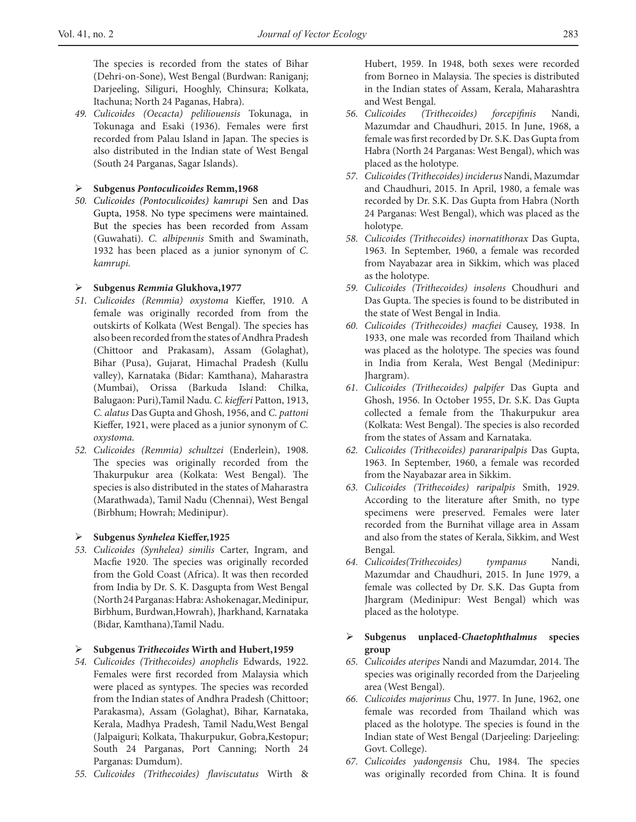The species is recorded from the states of Bihar (Dehri-on-Sone), West Bengal (Burdwan: Raniganj; Darjeeling, Siliguri, Hooghly, Chinsura; Kolkata, Itachuna; North 24 Paganas, Habra).

*49. Culicoides (Oecacta) peliliouensis* Tokunaga, in Tokunaga and Esaki (1936). Females were first recorded from Palau Island in Japan. The species is also distributed in the Indian state of West Bengal (South 24 Parganas, Sagar Islands).

### Ø **Subgenus** *Pontoculicoides* **Remm,1968**

*50. Culicoides (Pontoculicoides) kamrupi* Sen and Das Gupta, 1958. No type specimens were maintained. But the species has been recorded from Assam (Guwahati). *C. albipennis* Smith and Swaminath, 1932 has been placed as a junior synonym of *C. kamrupi.*

# Ø **Subgenus** *Remmia* **Glukhova,1977**

- *51. Culicoides (Remmia) oxystoma* Kieffer, 1910. A female was originally recorded from from the outskirts of Kolkata (West Bengal). The species has also been recorded from the states of Andhra Pradesh (Chittoor and Prakasam), Assam (Golaghat), Bihar (Pusa), Gujarat, Himachal Pradesh (Kullu valley), Karnataka (Bidar: Kamthana), Maharastra (Mumbai), Orissa (Barkuda Island: Chilka, Balugaon: Puri),Tamil Nadu. *C. kiefferi* Patton, 1913, *C. alatus* Das Gupta and Ghosh, 1956, and *C. pattoni* Kieffer, 1921, were placed as a junior synonym of *C. oxystoma.*
- *52. Culicoides (Remmia) schultzei* (Enderlein), 1908. The species was originally recorded from the Thakurpukur area (Kolkata: West Bengal). The species is also distributed in the states of Maharastra (Marathwada), Tamil Nadu (Chennai), West Bengal (Birbhum; Howrah; Medinipur).

# Ø **Subgenus** *Synhelea* **Kieffer,1925**

- *53. Culicoides (Synhelea) similis* Carter, Ingram, and Macfie 1920. The species was originally recorded from the Gold Coast (Africa). It was then recorded from India by Dr. S. K. Dasgupta from West Bengal (North 24 Parganas: Habra: Ashokenagar, Medinipur, Birbhum, Burdwan,Howrah), Jharkhand, Karnataka (Bidar, Kamthana),Tamil Nadu.
- Ø **Subgenus** *Trithecoides* **Wirth and Hubert,1959**
- *54. Culicoides (Trithecoides) anophelis* Edwards, 1922. Females were first recorded from Malaysia which were placed as syntypes. The species was recorded from the Indian states of Andhra Pradesh (Chittoor; Parakasma), Assam (Golaghat), Bihar, Karnataka, Kerala, Madhya Pradesh, Tamil Nadu,West Bengal (Jalpaiguri; Kolkata, Thakurpukur, Gobra,Kestopur; South 24 Parganas, Port Canning; North 24 Parganas: Dumdum).
- *55. Culicoides (Trithecoides) flaviscutatus* Wirth &

Hubert, 1959. In 1948, both sexes were recorded from Borneo in Malaysia. The species is distributed in the Indian states of Assam, Kerala, Maharashtra and West Bengal.

- *56. Culicoides (Trithecoides) forcepifinis* Nandi, Mazumdar and Chaudhuri, 2015. In June, 1968, a female was first recorded by Dr. S.K. Das Gupta from Habra (North 24 Parganas: West Bengal), which was placed as the holotype.
- *57. Culicoides (Trithecoides) inciderus* Nandi, Mazumdar and Chaudhuri, 2015. In April, 1980, a female was recorded by Dr. S.K. Das Gupta from Habra (North 24 Parganas: West Bengal), which was placed as the holotype.
- *58. Culicoides (Trithecoides) inornatithorax* Das Gupta, 1963. In September, 1960, a female was recorded from Nayabazar area in Sikkim, which was placed as the holotype.
- *59. Culicoides (Trithecoides) insolens* Choudhuri and Das Gupta. The species is found to be distributed in the state of West Bengal in India.
- *60. Culicoides (Trithecoides) macfiei* Causey, 1938. In 1933, one male was recorded from Thailand which was placed as the holotype. The species was found in India from Kerala, West Bengal (Medinipur: Jhargram).
- *61. Culicoides (Trithecoides) palpifer* Das Gupta and Ghosh, 1956. In October 1955, Dr. S.K. Das Gupta collected a female from the Thakurpukur area (Kolkata: West Bengal). The species is also recorded from the states of Assam and Karnataka.
- *62. Culicoides (Trithecoides) parararipalpis* Das Gupta, 1963. In September, 1960, a female was recorded from the Nayabazar area in Sikkim.
- *63. Culicoides (Trithecoides) raripalpis* Smith, 1929. According to the literature after Smith, no type specimens were preserved. Females were later recorded from the Burnihat village area in Assam and also from the states of Kerala, Sikkim, and West Bengal.
- *64. Culicoides(Trithecoides) tympanus* Nandi, Mazumdar and Chaudhuri, 2015. In June 1979, a female was collected by Dr. S.K. Das Gupta from Jhargram (Medinipur: West Bengal) which was placed as the holotype.
- Ø **Subgenus unplaced-***Chaetophthalmus* **species group**
- *65. Culicoides ateripes* Nandi and Mazumdar, 2014. The species was originally recorded from the Darjeeling area (West Bengal).
- *66. Culicoides majorinus* Chu, 1977. In June, 1962, one female was recorded from Thailand which was placed as the holotype. The species is found in the Indian state of West Bengal (Darjeeling: Darjeeling: Govt. College).
- *67. Culicoides yadongensis* Chu, 1984. The species was originally recorded from China. It is found